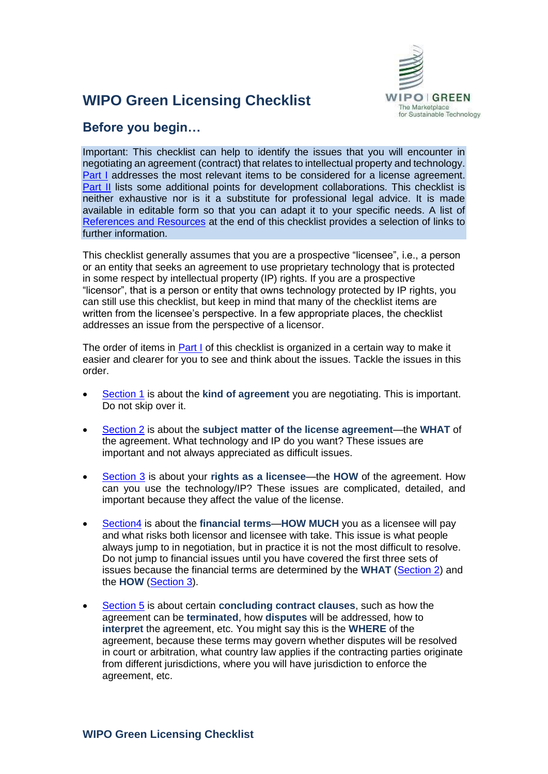

# **WIPO Green Licensing Checklist**

# **Before you begin…**

Important: This checklist can help to identify the issues that you will encounter in negotiating an agreement (contract) that relates to intellectual property and technology. [Part I](#page-1-0) addresses the most relevant items to be considered for a license agreement. **[Part II](#page-14-0)** lists some additional points for development collaborations. This checklist is neither exhaustive nor is it a substitute for professional legal advice. It is made available in editable form so that you can adapt it to your specific needs. A list of [References and Resources](#page-15-0) at the end of this checklist provides a selection of links to further information.

This checklist generally assumes that you are a prospective "licensee", i.e., a person or an entity that seeks an agreement to use proprietary technology that is protected in some respect by intellectual property (IP) rights. If you are a prospective "licensor", that is a person or entity that owns technology protected by IP rights, you can still use this checklist, but keep in mind that many of the checklist items are written from the licensee's perspective. In a few appropriate places, the checklist addresses an issue from the perspective of a licensor.

The order of items in [Part I](#page-1-0) of this checklist is organized in a certain way to make it easier and clearer for you to see and think about the issues. Tackle the issues in this order.

- [Section 1](#page-1-1) is about the **kind of agreement** you are negotiating. This is important. Do not skip over it.
- [Section 2](#page-3-0) is about the **subject matter of the license agreement**—the **WHAT** of the agreement. What technology and IP do you want? These issues are important and not always appreciated as difficult issues.
- [Section 3](#page-6-0) is about your **rights as a licensee**—the **HOW** of the agreement. How can you use the technology/IP? These issues are complicated, detailed, and important because they affect the value of the license.
- [Section4](#page-9-0) is about the **financial terms**—**HOW MUCH** you as a licensee will pay and what risks both licensor and licensee with take. This issue is what people always jump to in negotiation, but in practice it is not the most difficult to resolve. Do not jump to financial issues until you have covered the first three sets of issues because the financial terms are determined by the **WHAT** [\(Section 2\)](#page-3-0) and the **HOW** [\(Section](#page-6-0) 3).
- [Section 5](#page-12-0) is about certain **concluding contract clauses**, such as how the agreement can be **terminated**, how **disputes** will be addressed, how to **interpret** the agreement, etc. You might say this is the **WHERE** of the agreement, because these terms may govern whether disputes will be resolved in court or arbitration, what country law applies if the contracting parties originate from different jurisdictions, where you will have jurisdiction to enforce the agreement, etc.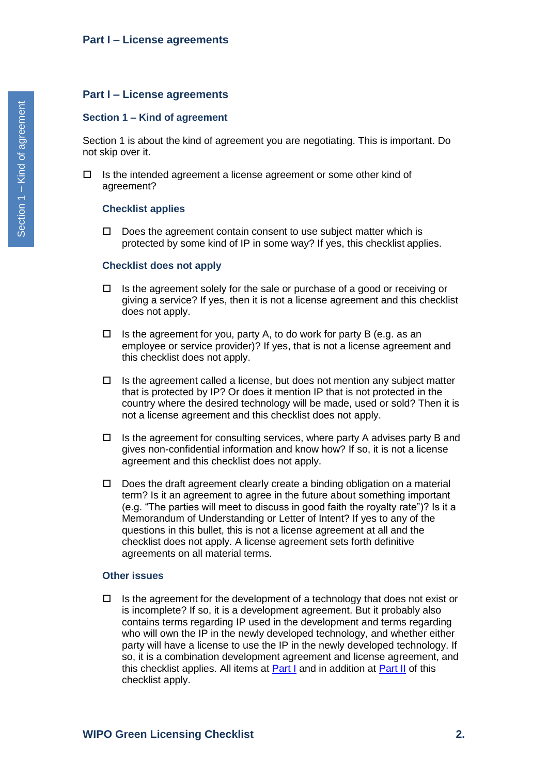#### <span id="page-1-1"></span><span id="page-1-0"></span>**Section 1 – Kind of agreement**

Section 1 is about the kind of agreement you are negotiating. This is important. Do not skip over it.

 $\Box$  Is the intended agreement a license agreement or some other kind of agreement?

#### **Checklist applies**

 $\Box$  Does the agreement contain consent to use subject matter which is protected by some kind of IP in some way? If yes, this checklist applies.

#### **Checklist does not apply**

- $\Box$  Is the agreement solely for the sale or purchase of a good or receiving or giving a service? If yes, then it is not a license agreement and this checklist does not apply.
- $\Box$  Is the agreement for you, party A, to do work for party B (e.g. as an employee or service provider)? If yes, that is not a license agreement and this checklist does not apply.
- $\Box$  Is the agreement called a license, but does not mention any subject matter that is protected by IP? Or does it mention IP that is not protected in the country where the desired technology will be made, used or sold? Then it is not a license agreement and this checklist does not apply.
- $\Box$  Is the agreement for consulting services, where party A advises party B and gives non-confidential information and know how? If so, it is not a license agreement and this checklist does not apply.
- $\Box$  Does the draft agreement clearly create a binding obligation on a material term? Is it an agreement to agree in the future about something important (e.g. "The parties will meet to discuss in good faith the royalty rate")? Is it a Memorandum of Understanding or Letter of Intent? If yes to any of the questions in this bullet, this is not a license agreement at all and the checklist does not apply. A license agreement sets forth definitive agreements on all material terms.

#### **Other issues**

 $\Box$  Is the agreement for the development of a technology that does not exist or is incomplete? If so, it is a development agreement. But it probably also contains terms regarding IP used in the development and terms regarding who will own the IP in the newly developed technology, and whether either party will have a license to use the IP in the newly developed technology. If so, it is a combination development agreement and license agreement, and this checklist applies. All items at [Part I](#page-1-0) and in addition at [Part II](#page-14-0) of this checklist apply.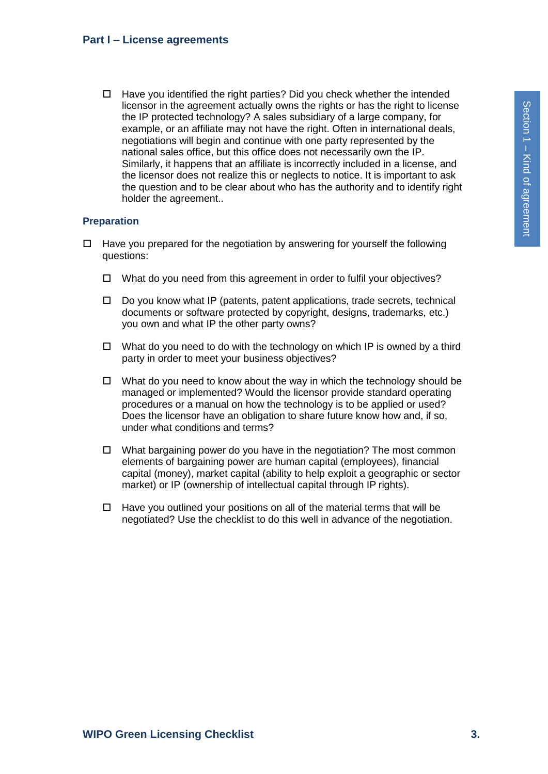$\Box$  Have you identified the right parties? Did you check whether the intended licensor in the agreement actually owns the rights or has the right to license the IP protected technology? A sales subsidiary of a large company, for example, or an affiliate may not have the right. Often in international deals, negotiations will begin and continue with one party represented by the national sales office, but this office does not necessarily own the IP. Similarly, it happens that an affiliate is incorrectly included in a license, and the licensor does not realize this or neglects to notice. It is important to ask the question and to be clear about who has the authority and to identify right holder the agreement..

#### **Preparation**

- $\Box$  Have you prepared for the negotiation by answering for yourself the following questions:
	- $\Box$  What do you need from this agreement in order to fulfil your objectives?
	- $\Box$  Do you know what IP (patents, patent applications, trade secrets, technical documents or software protected by copyright, designs, trademarks, etc.) you own and what IP the other party owns?
	- $\Box$  What do you need to do with the technology on which IP is owned by a third party in order to meet your business objectives?
	- $\Box$  What do you need to know about the way in which the technology should be managed or implemented? Would the licensor provide standard operating procedures or a manual on how the technology is to be applied or used? Does the licensor have an obligation to share future know how and, if so, under what conditions and terms?
	- $\Box$  What bargaining power do you have in the negotiation? The most common elements of bargaining power are human capital (employees), financial capital (money), market capital (ability to help exploit a geographic or sector market) or IP (ownership of intellectual capital through IP rights).
	- $\Box$  Have you outlined your positions on all of the material terms that will be negotiated? Use the checklist to do this well in advance of the negotiation.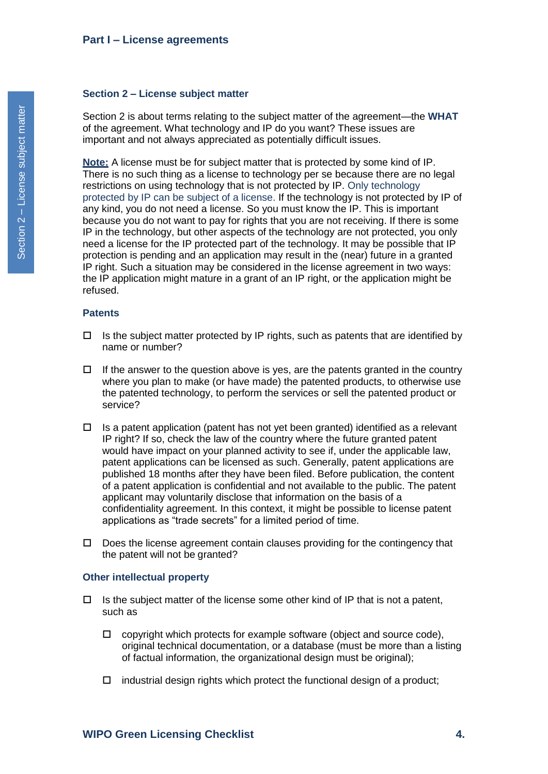#### <span id="page-3-0"></span>**Section 2 – License subject matter**

Section 2 is about terms relating to the subject matter of the agreement—the **WHAT**  of the agreement. What technology and IP do you want? These issues are important and not always appreciated as potentially difficult issues.

**Note:** A license must be for subject matter that is protected by some kind of IP. There is no such thing as a license to technology per se because there are no legal restrictions on using technology that is not protected by IP. Only technology protected by IP can be subject of a license. If the technology is not protected by IP of any kind, you do not need a license. So you must know the IP. This is important because you do not want to pay for rights that you are not receiving. If there is some IP in the technology, but other aspects of the technology are not protected, you only need a license for the IP protected part of the technology. It may be possible that IP protection is pending and an application may result in the (near) future in a granted IP right. Such a situation may be considered in the license agreement in two ways: the IP application might mature in a grant of an IP right, or the application might be refused.

### **Patents**

- $\Box$  Is the subject matter protected by IP rights, such as patents that are identified by name or number?
- $\Box$  If the answer to the question above is yes, are the patents granted in the country where you plan to make (or have made) the patented products, to otherwise use the patented technology, to perform the services or sell the patented product or service?
- $\Box$  Is a patent application (patent has not yet been granted) identified as a relevant IP right? If so, check the law of the country where the future granted patent would have impact on your planned activity to see if, under the applicable law, patent applications can be licensed as such. Generally, patent applications are published 18 months after they have been filed. Before publication, the content of a patent application is confidential and not available to the public. The patent applicant may voluntarily disclose that information on the basis of a confidentiality agreement. In this context, it might be possible to license patent applications as "trade secrets" for a limited period of time.
- $\Box$  Does the license agreement contain clauses providing for the contingency that the patent will not be granted?

#### **Other intellectual property**

- $\Box$  Is the subject matter of the license some other kind of IP that is not a patent, such as
	- $\Box$  copyright which protects for example software (object and source code), original technical documentation, or a database (must be more than a listing of factual information, the organizational design must be original);
	- $\Box$  industrial design rights which protect the functional design of a product;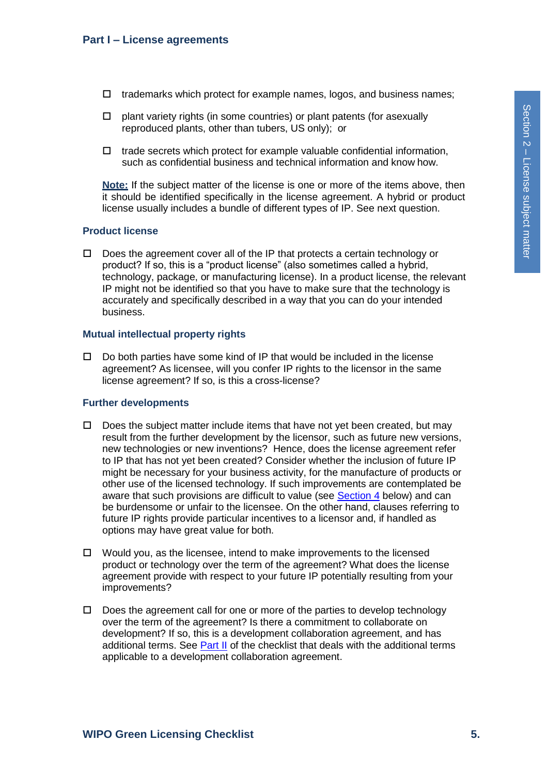- $\Box$  trademarks which protect for example names, logos, and business names;
- $\square$  plant variety rights (in some countries) or plant patents (for asexually reproduced plants, other than tubers, US only); or
- $\Box$  trade secrets which protect for example valuable confidential information, such as confidential business and technical information and know how.

**Note:** If the subject matter of the license is one or more of the items above, then it should be identified specifically in the license agreement. A hybrid or product license usually includes a bundle of different types of IP. See next question.

### **Product license**

 $\Box$  Does the agreement cover all of the IP that protects a certain technology or product? If so, this is a "product license" (also sometimes called a hybrid, technology, package, or manufacturing license). In a product license, the relevant IP might not be identified so that you have to make sure that the technology is accurately and specifically described in a way that you can do your intended business.

### **Mutual intellectual property rights**

 $\Box$  Do both parties have some kind of IP that would be included in the license agreement? As licensee, will you confer IP rights to the licensor in the same license agreement? If so, is this a cross-license?

# **Further developments**

- $\Box$  Does the subject matter include items that have not yet been created, but may result from the further development by the licensor, such as future new versions, new technologies or new inventions? Hence, does the license agreement refer to IP that has not yet been created? Consider whether the inclusion of future IP might be necessary for your business activity, for the manufacture of products or other use of the licensed technology. If such improvements are contemplated be aware that such provisions are difficult to value (see [Section 4](#page-9-0) below) and can be burdensome or unfair to the licensee. On the other hand, clauses referring to future IP rights provide particular incentives to a licensor and, if handled as options may have great value for both.
- $\Box$  Would you, as the licensee, intend to make improvements to the licensed product or technology over the term of the agreement? What does the license agreement provide with respect to your future IP potentially resulting from your improvements?
- $\Box$  Does the agreement call for one or more of the parties to develop technology over the term of the agreement? Is there a commitment to collaborate on development? If so, this is a development collaboration agreement, and has additional terms. See [Part II](#page-14-0) of the checklist that deals with the additional terms applicable to a development collaboration agreement.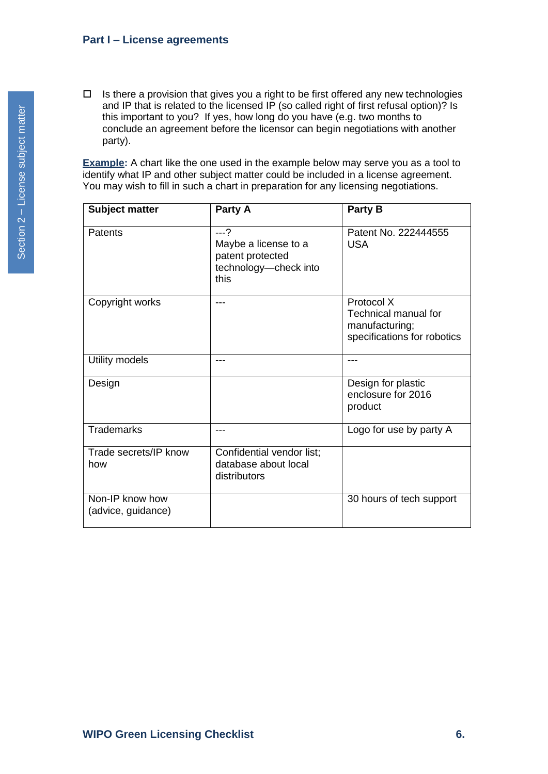$\Box$  Is there a provision that gives you a right to be first offered any new technologies and IP that is related to the licensed IP (so called right of first refusal option)? Is this important to you? If yes, how long do you have (e.g. two months to conclude an agreement before the licensor can begin negotiations with another party).

**Example:** A chart like the one used in the example below may serve you as a tool to identify what IP and other subject matter could be included in a license agreement. You may wish to fill in such a chart in preparation for any licensing negotiations.

| <b>Subject matter</b>                 | Party A                                                                            | Party B                                                                                    |
|---------------------------------------|------------------------------------------------------------------------------------|--------------------------------------------------------------------------------------------|
| Patents                               | $--?$<br>Maybe a license to a<br>patent protected<br>technology-check into<br>this | Patent No. 222444555<br><b>USA</b>                                                         |
| Copyright works                       | ---                                                                                | Protocol X<br><b>Technical manual for</b><br>manufacturing;<br>specifications for robotics |
| Utility models                        | ---                                                                                |                                                                                            |
| Design                                |                                                                                    | Design for plastic<br>enclosure for 2016<br>product                                        |
| <b>Trademarks</b>                     | ---                                                                                | Logo for use by party A                                                                    |
| Trade secrets/IP know<br>how          | Confidential vendor list;<br>database about local<br>distributors                  |                                                                                            |
| Non-IP know how<br>(advice, guidance) |                                                                                    | 30 hours of tech support                                                                   |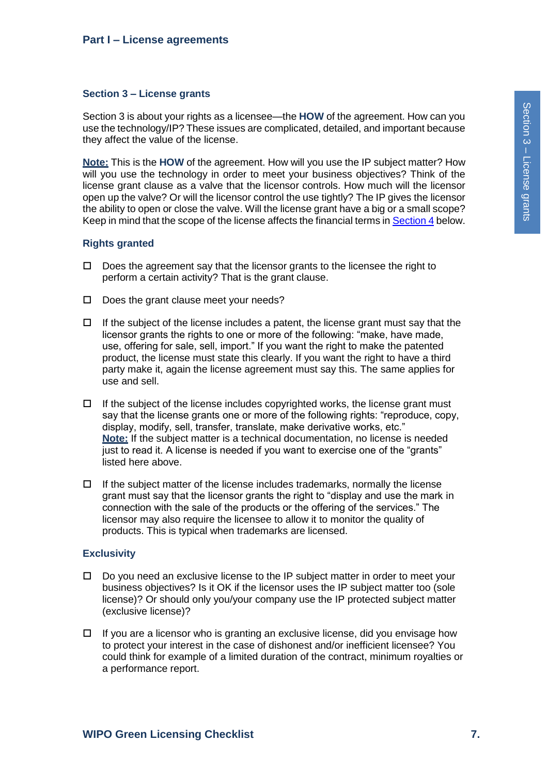### <span id="page-6-0"></span>**Section 3 – License grants**

Section 3 is about your rights as a licensee—the **HOW** of the agreement. How can you use the technology/IP? These issues are complicated, detailed, and important because they affect the value of the license.

**Note:** This is the **HOW** of the agreement. How will you use the IP subject matter? How will you use the technology in order to meet your business objectives? Think of the license grant clause as a valve that the licensor controls. How much will the licensor open up the valve? Or will the licensor control the use tightly? The IP gives the licensor the ability to open or close the valve. Will the license grant have a big or a small scope? Keep in mind that the scope of the license affects the financial terms i[n Section 4](#page-9-0) below.

# **Rights granted**

- $\Box$  Does the agreement say that the licensor grants to the licensee the right to perform a certain activity? That is the grant clause.
- $\square$  Does the grant clause meet your needs?
- $\Box$  If the subject of the license includes a patent, the license grant must say that the licensor grants the rights to one or more of the following: "make, have made, use, offering for sale, sell, import." If you want the right to make the patented product, the license must state this clearly. If you want the right to have a third party make it, again the license agreement must say this. The same applies for use and sell.
- $\Box$  If the subject of the license includes copyrighted works, the license grant must say that the license grants one or more of the following rights: "reproduce, copy, display, modify, sell, transfer, translate, make derivative works, etc." **Note:** If the subject matter is a technical documentation, no license is needed just to read it. A license is needed if you want to exercise one of the "grants" listed here above.
- $\Box$  If the subject matter of the license includes trademarks, normally the license grant must say that the licensor grants the right to "display and use the mark in connection with the sale of the products or the offering of the services." The licensor may also require the licensee to allow it to monitor the quality of products. This is typical when trademarks are licensed.

# **Exclusivity**

- $\Box$  Do you need an exclusive license to the IP subject matter in order to meet your business objectives? Is it OK if the licensor uses the IP subject matter too (sole license)? Or should only you/your company use the IP protected subject matter (exclusive license)?
- $\Box$  If you are a licensor who is granting an exclusive license, did you envisage how to protect your interest in the case of dishonest and/or inefficient licensee? You could think for example of a limited duration of the contract, minimum royalties or a performance report.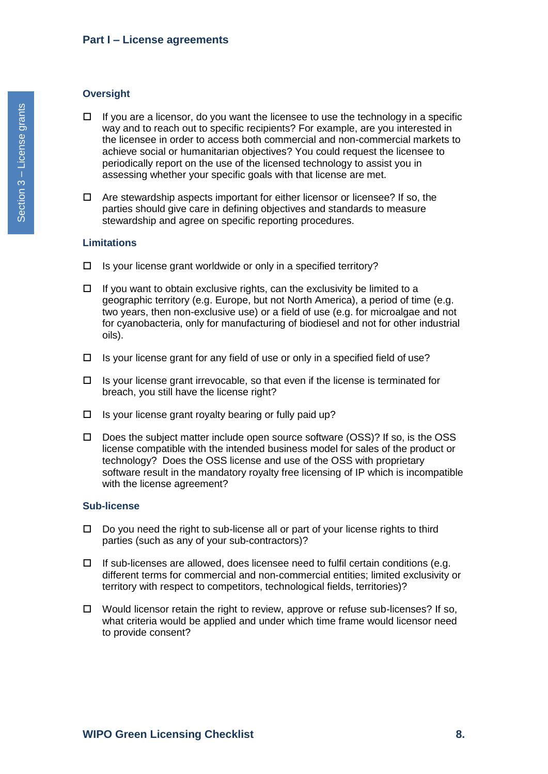#### **Oversight**

- $\Box$  If you are a licensor, do you want the licensee to use the technology in a specific way and to reach out to specific recipients? For example, are you interested in the licensee in order to access both commercial and non-commercial markets to achieve social or humanitarian objectives? You could request the licensee to periodically report on the use of the licensed technology to assist you in assessing whether your specific goals with that license are met.
- $\Box$  Are stewardship aspects important for either licensor or licensee? If so, the parties should give care in defining objectives and standards to measure stewardship and agree on specific reporting procedures.

### **Limitations**

- $\Box$  Is your license grant worldwide or only in a specified territory?
- $\Box$  If you want to obtain exclusive rights, can the exclusivity be limited to a geographic territory (e.g. Europe, but not North America), a period of time (e.g. two years, then non-exclusive use) or a field of use (e.g. for microalgae and not for cyanobacteria, only for manufacturing of biodiesel and not for other industrial oils).
- $\Box$  Is your license grant for any field of use or only in a specified field of use?
- $\Box$  Is your license grant irrevocable, so that even if the license is terminated for breach, you still have the license right?
- $\Box$  Is your license grant royalty bearing or fully paid up?
- $\Box$  Does the subject matter include open source software (OSS)? If so, is the OSS license compatible with the intended business model for sales of the product or technology? Does the OSS license and use of the OSS with proprietary software result in the mandatory royalty free licensing of IP which is incompatible with the license agreement?

#### **Sub-license**

- $\Box$  Do you need the right to sub-license all or part of your license rights to third parties (such as any of your sub-contractors)?
- $\Box$  If sub-licenses are allowed, does licensee need to fulfil certain conditions (e.g. different terms for commercial and non-commercial entities; limited exclusivity or territory with respect to competitors, technological fields, territories)?
- $\Box$  Would licensor retain the right to review, approve or refuse sub-licenses? If so, what criteria would be applied and under which time frame would licensor need to provide consent?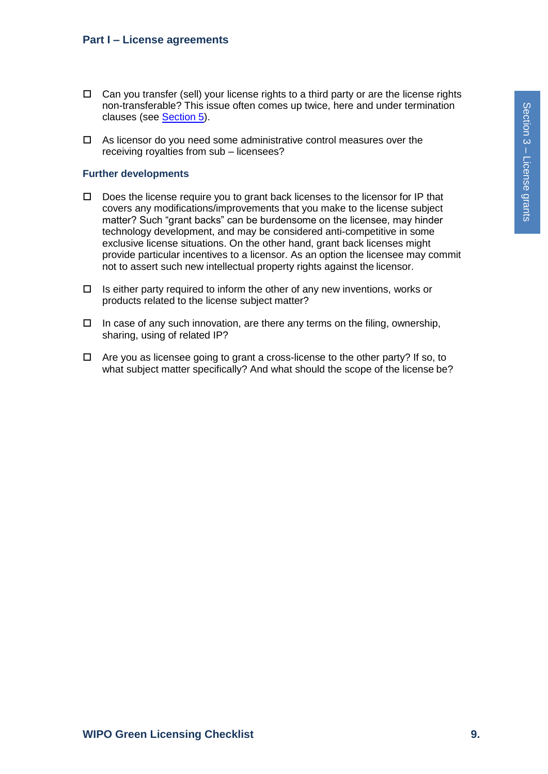- $\Box$  Can you transfer (sell) your license rights to a third party or are the license rights non-transferable? This issue often comes up twice, here and under termination clauses (see [Section](#page-12-0) 5).
- $\Box$  As licensor do you need some administrative control measures over the receiving royalties from sub – licensees?

### **Further developments**

- $\Box$  Does the license require you to grant back licenses to the licensor for IP that covers any modifications/improvements that you make to the license subject matter? Such "grant backs" can be burdensome on the licensee, may hinder technology development, and may be considered anti-competitive in some exclusive license situations. On the other hand, grant back licenses might provide particular incentives to a licensor. As an option the licensee may commit not to assert such new intellectual property rights against the licensor.
- $\Box$  Is either party required to inform the other of any new inventions, works or products related to the license subject matter?
- $\Box$  In case of any such innovation, are there any terms on the filing, ownership, sharing, using of related IP?
- $\Box$  Are you as licensee going to grant a cross-license to the other party? If so, to what subject matter specifically? And what should the scope of the license be?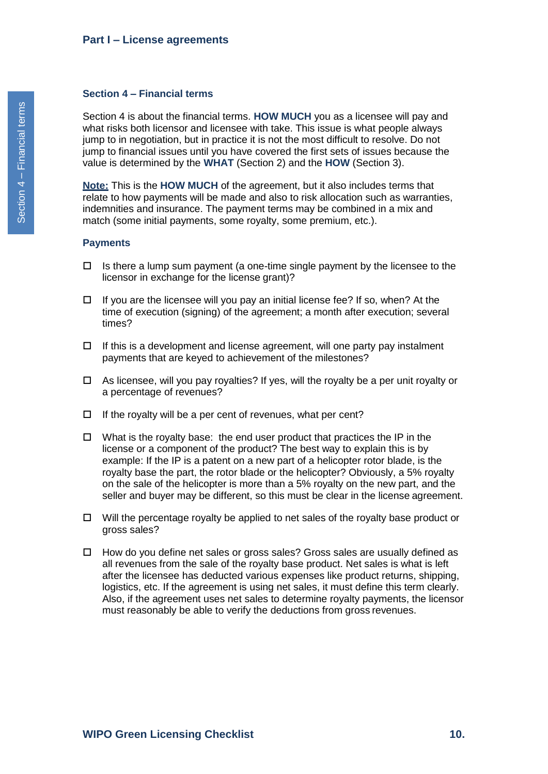#### <span id="page-9-0"></span>**Section 4 – Financial terms**

Section 4 is about the financial terms. **HOW MUCH** you as a licensee will pay and what risks both licensor and licensee with take. This issue is what people always jump to in negotiation, but in practice it is not the most difficult to resolve. Do not jump to financial issues until you have covered the first sets of issues because the value is determined by the **WHAT** (Section 2) and the **HOW** (Section 3).

**Note:** This is the **HOW MUCH** of the agreement, but it also includes terms that relate to how payments will be made and also to risk allocation such as warranties, indemnities and insurance. The payment terms may be combined in a mix and match (some initial payments, some royalty, some premium, etc.).

#### **Payments**

- $\Box$  Is there a lump sum payment (a one-time single payment by the licensee to the licensor in exchange for the license grant)?
- $\Box$  If you are the licensee will you pay an initial license fee? If so, when? At the time of execution (signing) of the agreement; a month after execution; several times?
- $\Box$  If this is a development and license agreement, will one party pay instalment payments that are keyed to achievement of the milestones?
- $\Box$  As licensee, will you pay royalties? If yes, will the royalty be a per unit royalty or a percentage of revenues?
- $\Box$  If the royalty will be a per cent of revenues, what per cent?
- $\Box$  What is the royalty base: the end user product that practices the IP in the license or a component of the product? The best way to explain this is by example: If the IP is a patent on a new part of a helicopter rotor blade, is the royalty base the part, the rotor blade or the helicopter? Obviously, a 5% royalty on the sale of the helicopter is more than a 5% royalty on the new part, and the seller and buyer may be different, so this must be clear in the license agreement.
- $\Box$  Will the percentage royalty be applied to net sales of the royalty base product or gross sales?
- $\Box$  How do you define net sales or gross sales? Gross sales are usually defined as all revenues from the sale of the royalty base product. Net sales is what is left after the licensee has deducted various expenses like product returns, shipping, logistics, etc. If the agreement is using net sales, it must define this term clearly. Also, if the agreement uses net sales to determine royalty payments, the licensor must reasonably be able to verify the deductions from gross revenues.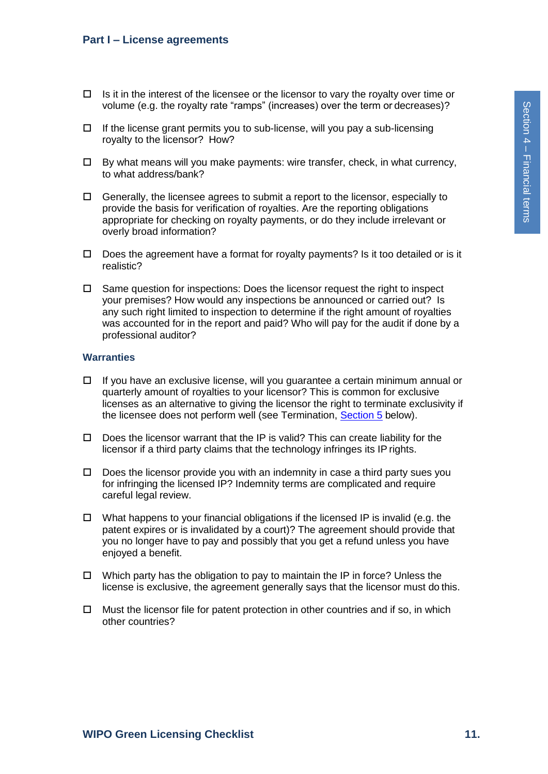- $\Box$  Is it in the interest of the licensee or the licensor to vary the royalty over time or volume (e.g. the royalty rate "ramps" (increases) over the term or decreases)?
- $\Box$  If the license grant permits you to sub-license, will you pay a sub-licensing royalty to the licensor? How?
- $\Box$  By what means will you make payments: wire transfer, check, in what currency, to what address/bank?
- $\Box$  Generally, the licensee agrees to submit a report to the licensor, especially to provide the basis for verification of royalties. Are the reporting obligations appropriate for checking on royalty payments, or do they include irrelevant or overly broad information?
- $\square$  Does the agreement have a format for royalty payments? Is it too detailed or is it realistic?
- $\Box$  Same question for inspections: Does the licensor request the right to inspect your premises? How would any inspections be announced or carried out? Is any such right limited to inspection to determine if the right amount of royalties was accounted for in the report and paid? Who will pay for the audit if done by a professional auditor?

#### **Warranties**

- $\Box$  If you have an exclusive license, will you guarantee a certain minimum annual or quarterly amount of royalties to your licensor? This is common for exclusive licenses as an alternative to giving the licensor the right to terminate exclusivity if the licensee does not perform well (see Termination, [Section 5](#page-12-0) below).
- $\Box$  Does the licensor warrant that the IP is valid? This can create liability for the licensor if a third party claims that the technology infringes its IP rights.
- $\Box$  Does the licensor provide you with an indemnity in case a third party sues you for infringing the licensed IP? Indemnity terms are complicated and require careful legal review.
- $\Box$  What happens to your financial obligations if the licensed IP is invalid (e.g. the patent expires or is invalidated by a court)? The agreement should provide that you no longer have to pay and possibly that you get a refund unless you have enjoyed a benefit.
- $\Box$  Which party has the obligation to pay to maintain the IP in force? Unless the license is exclusive, the agreement generally says that the licensor must do this.
- $\Box$  Must the licensor file for patent protection in other countries and if so, in which other countries?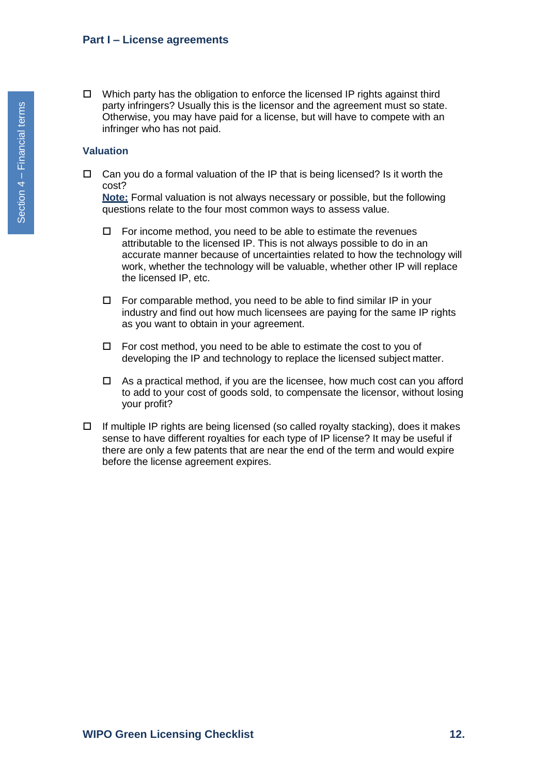$\Box$  Which party has the obligation to enforce the licensed IP rights against third party infringers? Usually this is the licensor and the agreement must so state. Otherwise, you may have paid for a license, but will have to compete with an infringer who has not paid.

### **Valuation**

 $\Box$  Can you do a formal valuation of the IP that is being licensed? Is it worth the cost?

**Note:** Formal valuation is not always necessary or possible, but the following questions relate to the four most common ways to assess value.

- $\Box$  For income method, you need to be able to estimate the revenues attributable to the licensed IP. This is not always possible to do in an accurate manner because of uncertainties related to how the technology will work, whether the technology will be valuable, whether other IP will replace the licensed IP, etc.
- $\Box$  For comparable method, you need to be able to find similar IP in your industry and find out how much licensees are paying for the same IP rights as you want to obtain in your agreement.
- $\Box$  For cost method, you need to be able to estimate the cost to you of developing the IP and technology to replace the licensed subject matter.
- $\Box$  As a practical method, if you are the licensee, how much cost can you afford to add to your cost of goods sold, to compensate the licensor, without losing your profit?
- $\Box$  If multiple IP rights are being licensed (so called royalty stacking), does it makes sense to have different royalties for each type of IP license? It may be useful if there are only a few patents that are near the end of the term and would expire before the license agreement expires.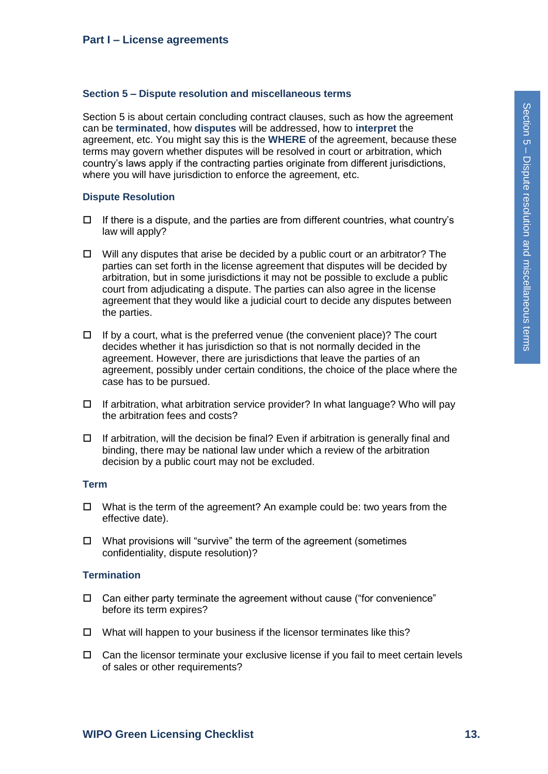#### <span id="page-12-0"></span>**Section 5 – Dispute resolution and miscellaneous terms**

Section 5 is about certain concluding contract clauses, such as how the agreement can be **terminated**, how **disputes** will be addressed, how to **interpret** the agreement, etc. You might say this is the **WHERE** of the agreement, because these terms may govern whether disputes will be resolved in court or arbitration, which country's laws apply if the contracting parties originate from different jurisdictions, where you will have jurisdiction to enforce the agreement, etc.

#### **Dispute Resolution**

- $\Box$  If there is a dispute, and the parties are from different countries, what country's law will apply?
- $\Box$  Will any disputes that arise be decided by a public court or an arbitrator? The parties can set forth in the license agreement that disputes will be decided by arbitration, but in some jurisdictions it may not be possible to exclude a public court from adjudicating a dispute. The parties can also agree in the license agreement that they would like a judicial court to decide any disputes between the parties.
- $\Box$  If by a court, what is the preferred venue (the convenient place)? The court decides whether it has jurisdiction so that is not normally decided in the agreement. However, there are jurisdictions that leave the parties of an agreement, possibly under certain conditions, the choice of the place where the case has to be pursued.
- $\Box$  If arbitration, what arbitration service provider? In what language? Who will pay the arbitration fees and costs?
- $\Box$  If arbitration, will the decision be final? Even if arbitration is generally final and binding, there may be national law under which a review of the arbitration decision by a public court may not be excluded.

#### **Term**

- $\Box$  What is the term of the agreement? An example could be: two years from the effective date).
- $\Box$  What provisions will "survive" the term of the agreement (sometimes confidentiality, dispute resolution)?

### **Termination**

- $\Box$  Can either party terminate the agreement without cause ("for convenience" before its term expires?
- $\Box$  What will happen to your business if the licensor terminates like this?
- $\Box$  Can the licensor terminate your exclusive license if you fail to meet certain levels of sales or other requirements?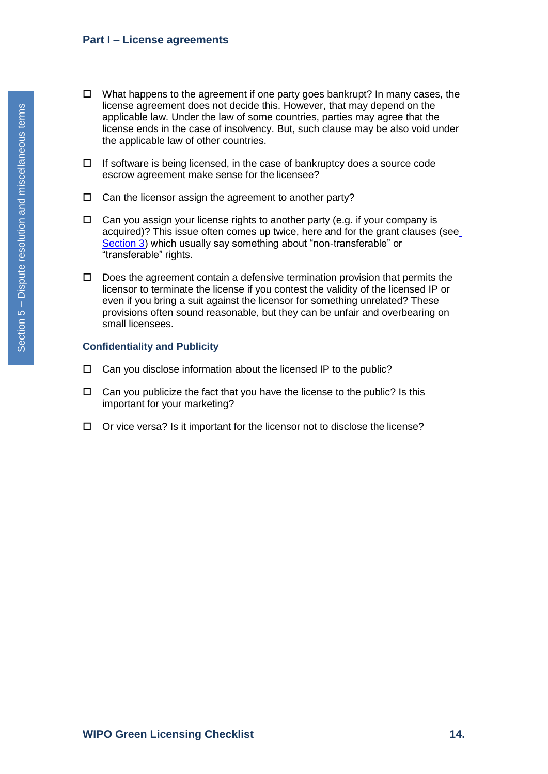- $\Box$  What happens to the agreement if one party goes bankrupt? In many cases, the license agreement does not decide this. However, that may depend on the applicable law. Under the law of some countries, parties may agree that the license ends in the case of insolvency. But, such clause may be also void under the applicable law of other countries.
- $\Box$  If software is being licensed, in the case of bankruptcy does a source code escrow agreement make sense for the licensee?
- $\Box$  Can the licensor assign the agreement to another party?
- $\Box$  Can you assign your license rights to another party (e.g. if your company is acquired)? This issue often comes up twice, here and for the grant clauses (se[e](#page-6-0) [Section 3\)](#page-6-0) which usually say something about "non-transferable" or "transferable" rights.
- $\Box$  Does the agreement contain a defensive termination provision that permits the licensor to terminate the license if you contest the validity of the licensed IP or even if you bring a suit against the licensor for something unrelated? These provisions often sound reasonable, but they can be unfair and overbearing on small licensees.

### **Confidentiality and Publicity**

- $\Box$  Can you disclose information about the licensed IP to the public?
- $\Box$  Can you publicize the fact that you have the license to the public? Is this important for your marketing?
- $\Box$  Or vice versa? Is it important for the licensor not to disclose the license?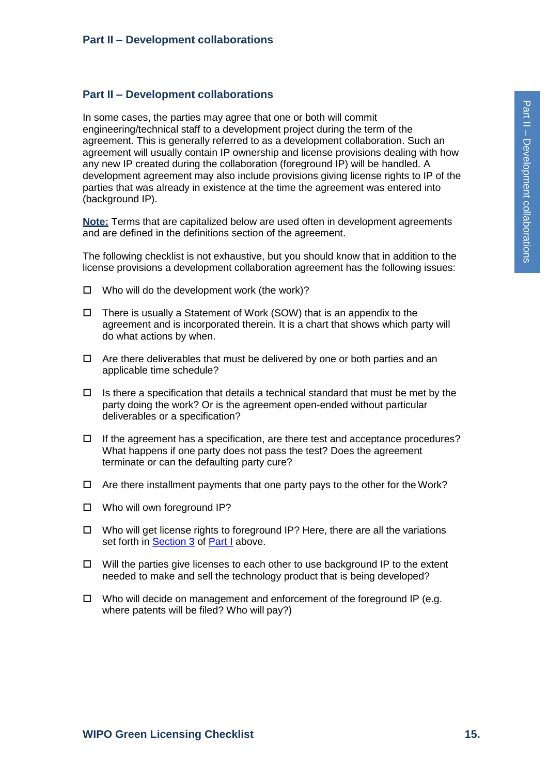### <span id="page-14-0"></span>**Part II – Development collaborations**

In some cases, the parties may agree that one or both will commit engineering/technical staff to a development project during the term of the agreement. This is generally referred to as a development collaboration. Such an agreement will usually contain IP ownership and license provisions dealing with how any new IP created during the collaboration (foreground IP) will be handled. A development agreement may also include provisions giving license rights to IP of the parties that was already in existence at the time the agreement was entered into (background IP).

**Note:** Terms that are capitalized below are used often in development agreements and are defined in the definitions section of the agreement.

The following checklist is not exhaustive, but you should know that in addition to the license provisions a development collaboration agreement has the following issues:

- $\Box$  Who will do the development work (the work)?
- $\Box$  There is usually a Statement of Work (SOW) that is an appendix to the agreement and is incorporated therein. It is a chart that shows which party will do what actions by when.
- $\Box$  Are there deliverables that must be delivered by one or both parties and an applicable time schedule?
- $\Box$  Is there a specification that details a technical standard that must be met by the party doing the work? Or is the agreement open-ended without particular deliverables or a specification?
- $\Box$  If the agreement has a specification, are there test and acceptance procedures? What happens if one party does not pass the test? Does the agreement terminate or can the defaulting party cure?
- $\Box$  Are there installment payments that one party pays to the other for the Work?
- □ Who will own foreground IP?
- $\Box$  Who will get license rights to foreground IP? Here, there are all the variations set forth in **[Section 3](#page-6-0) of [Part I](#page-1-0)** above.
- $\Box$  Will the parties give licenses to each other to use background IP to the extent needed to make and sell the technology product that is being developed?
- $\Box$  Who will decide on management and enforcement of the foreground IP (e.g. where patents will be filed? Who will pay?)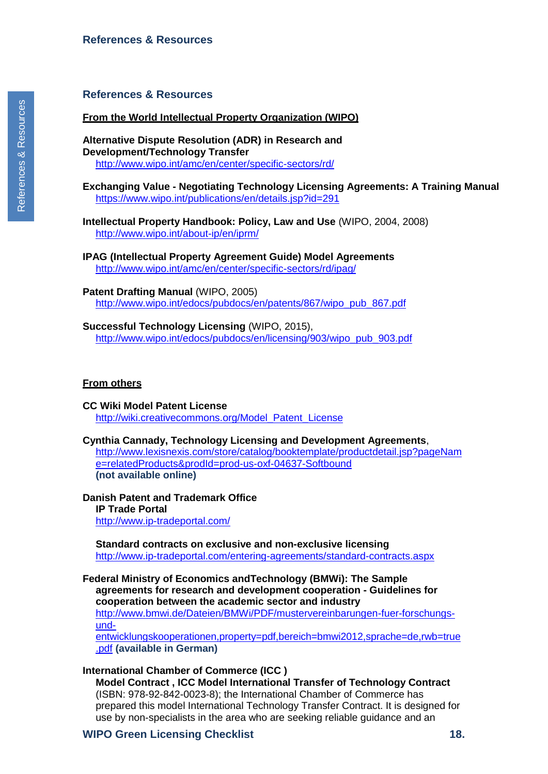### <span id="page-15-0"></span>**References & Resources**

#### **From the World Intellectual Property Organization (WIPO)**

**Alternative Dispute Resolution (ADR) in Research and Development/Technology Transfer** <http://www.wipo.int/amc/en/center/specific-sectors/rd/>

#### **Exchanging Value - Negotiating Technology Licensing Agreements: A Training Manual** https://www.wipo.int/publications/en/details.jsp?id=291

- **Intellectual Property Handbook: Policy, Law and Use** (WIPO, 2004, 2008) <http://www.wipo.int/about-ip/en/iprm/>
- **IPAG (Intellectual Property Agreement Guide) Model Agreements** <http://www.wipo.int/amc/en/center/specific-sectors/rd/ipag/>
- **Patent Drafting Manual** (WIPO, 2005) [http://www.wipo.int/edocs/pubdocs/en/patents/867/wipo\\_pub\\_867.pdf](http://www.wipo.int/edocs/pubdocs/en/patents/867/wipo_pub_867.pdf)
- **Successful Technology Licensing** (WIPO, 2015), [http://www.wipo.int/edocs/pubdocs/en/licensing/903/wipo\\_pub\\_903.pdf](http://www.wipo.int/edocs/pubdocs/en/licensing/903/wipo_pub_903.pdf)

#### **From others**

- **CC Wiki Model Patent License** [http://wiki.creativecommons.org/Model\\_Patent\\_License](http://wiki.creativecommons.org/Model_Patent_License)
- **Cynthia Cannady, Technology Licensing and Development Agreements**,

[http://www.lexisnexis.com/store/catalog/booktemplate/productdetail.jsp?pageNam](http://www.lexisnexis.com/store/catalog/booktemplate/productdetail.jsp?pageName=relatedProducts&prodId=prod-us-oxf-04637-Softbound) [e=relatedProducts&prodId=prod-us-oxf-04637-Softbound](http://www.lexisnexis.com/store/catalog/booktemplate/productdetail.jsp?pageName=relatedProducts&prodId=prod-us-oxf-04637-Softbound) **(not available online)**

**Danish Patent and Trademark Office IP Trade Portal** <http://www.ip-tradeportal.com/>

**Standard contracts on exclusive and non-exclusive licensing** <http://www.ip-tradeportal.com/entering-agreements/standard-contracts.aspx>

**[Federal Ministry of Economics andTechnology \(](http://www.bmwi.de/Dateien/BMWi/PDF/mustervereinbarungen-fuer-forschungs-und-entwicklungskooperationen%2Cproperty%3Dpdf%2Cbereich%3Dbmwi2012%2Csprache%3Dde%2Crwb%3Dtrue.pdf)BMWi): The Sample agreements for research and development cooperation - Guidelines for cooperation between the academic sector and industry** 

[http://www.bmwi.de/Dateien/BMWi/PDF/mustervereinbarungen-fuer-forschungs](http://www.bmwi.de/Dateien/BMWi/PDF/mustervereinbarungen-fuer-forschungs-und-entwicklungskooperationen%2Cproperty%3Dpdf%2Cbereich%3Dbmwi2012%2Csprache%3Dde%2Crwb%3Dtrue.pdf)[und-](http://www.bmwi.de/Dateien/BMWi/PDF/mustervereinbarungen-fuer-forschungs-und-entwicklungskooperationen%2Cproperty%3Dpdf%2Cbereich%3Dbmwi2012%2Csprache%3Dde%2Crwb%3Dtrue.pdf)

[entwicklungskooperationen,property=pdf,bereich=bmwi2012,sprache=de,rwb=true](http://www.bmwi.de/Dateien/BMWi/PDF/mustervereinbarungen-fuer-forschungs-und-entwicklungskooperationen%2Cproperty%3Dpdf%2Cbereich%3Dbmwi2012%2Csprache%3Dde%2Crwb%3Dtrue.pdf) [.pdf](http://www.bmwi.de/Dateien/BMWi/PDF/mustervereinbarungen-fuer-forschungs-und-entwicklungskooperationen%2Cproperty%3Dpdf%2Cbereich%3Dbmwi2012%2Csprache%3Dde%2Crwb%3Dtrue.pdf) **(available in German)**

#### **International Chamber of Commerce (ICC )**

**Model Contract , ICC Model International Transfer of Technology Contract**  (ISBN: 978-92-842-0023-8); the International Chamber of Commerce has prepared this model International Technology Transfer Contract. It is designed for use by non-specialists in the area who are seeking reliable guidance and an

### **WIPO Green Licensing Checklist 18.**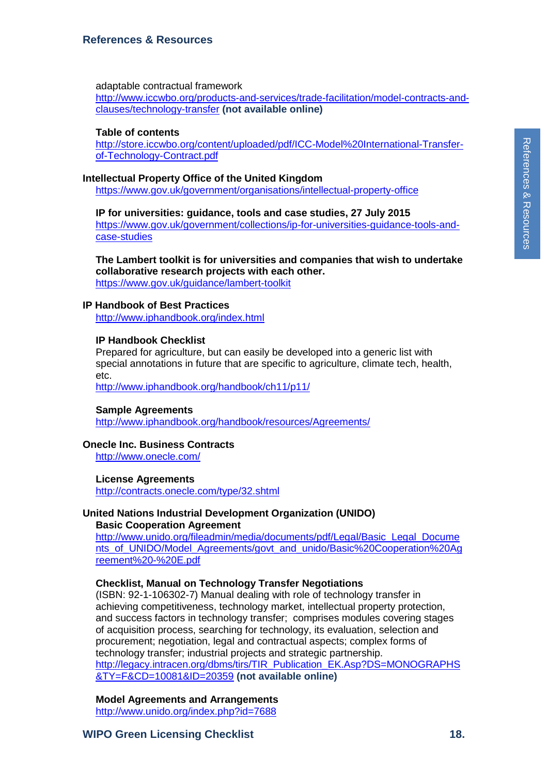# **References & Resources**

### adaptable contractual framework

[http://www.iccwbo.org/products-and-services/trade-facilitation/model-contracts-and](http://www.iccwbo.org/products-and-services/trade-facilitation/model-contracts-and-clauses/technology-transfer)[clauses/technology-transfer](http://www.iccwbo.org/products-and-services/trade-facilitation/model-contracts-and-clauses/technology-transfer) **(not available online)**

# **Table of contents**

[http://store.iccwbo.org/content/uploaded/pdf/ICC-Model%20International-Transfer](http://store.iccwbo.org/content/uploaded/pdf/ICC-Model%20International-Transfer-of-Technology-Contract.pdf)[of-Technology-Contract.pdf](http://store.iccwbo.org/content/uploaded/pdf/ICC-Model%20International-Transfer-of-Technology-Contract.pdf)

# **Intellectual Property Office of the United Kingdom**

<https://www.gov.uk/government/organisations/intellectual-property-office>

**IP for universities: guidance, tools and case studies, 27 July 2015**  [https://www.gov.uk/government/collections/ip-for-universities-guidance-tools-and](https://www.gov.uk/government/collections/ip-for-universities-guidance-tools-and-case-studies)[case-studies](https://www.gov.uk/government/collections/ip-for-universities-guidance-tools-and-case-studies)

**The Lambert toolkit is for universities and companies that wish to undertake collaborative research projects with each other.**  <https://www.gov.uk/guidance/lambert-toolkit>

# **IP Handbook of Best Practices**

<http://www.iphandbook.org/index.html>

# **IP Handbook Checklist**

Prepared for agriculture, but can easily be developed into a generic list with special annotations in future that are specific to agriculture, climate tech, health, etc.

<http://www.iphandbook.org/handbook/ch11/p11/>

# **Sample Agreements**

<http://www.iphandbook.org/handbook/resources/Agreements/>

# **Onecle Inc. Business Contracts**

<http://www.onecle.com/>

# **License Agreements**

<http://contracts.onecle.com/type/32.shtml>

### **United Nations Industrial Development Organization (UNIDO) Basic Cooperation Agreement**

[http://www.unido.org/fileadmin/media/documents/pdf/Legal/Basic\\_Legal\\_Docume](http://www.unido.org/fileadmin/media/documents/pdf/Legal/Basic_Legal_Documents_of_UNIDO/Model_Agreements/govt_and_unido/Basic%20Cooperation%20Agreement%20-%20E.pdf) [nts\\_of\\_UNIDO/Model\\_Agreements/govt\\_and\\_unido/Basic%20Cooperation%20Ag](http://www.unido.org/fileadmin/media/documents/pdf/Legal/Basic_Legal_Documents_of_UNIDO/Model_Agreements/govt_and_unido/Basic%20Cooperation%20Agreement%20-%20E.pdf) [reement%20-%20E.pdf](http://www.unido.org/fileadmin/media/documents/pdf/Legal/Basic_Legal_Documents_of_UNIDO/Model_Agreements/govt_and_unido/Basic%20Cooperation%20Agreement%20-%20E.pdf)

# **Checklist, Manual on Technology Transfer Negotiations**

(ISBN: 92-1-106302-7) Manual dealing with role of technology transfer in achieving competitiveness, technology market, intellectual property protection, and success factors in technology transfer; comprises modules covering stages of acquisition process, searching for technology, its evaluation, selection and procurement; negotiation, legal and contractual aspects; complex forms of technology transfer; industrial projects and strategic partnership. [http://legacy.intracen.org/dbms/tirs/TIR\\_Publication\\_EK.Asp?DS=MONOGRAPHS](http://legacy.intracen.org/dbms/tirs/TIR_Publication_EK.Asp?DS=MONOGRAPHS&TY=F&CD=10081&ID=20359) [&TY=F&CD=10081&ID=20359](http://legacy.intracen.org/dbms/tirs/TIR_Publication_EK.Asp?DS=MONOGRAPHS&TY=F&CD=10081&ID=20359) **(not available online)**

**Model Agreements and Arrangements**

<http://www.unido.org/index.php?id=7688>